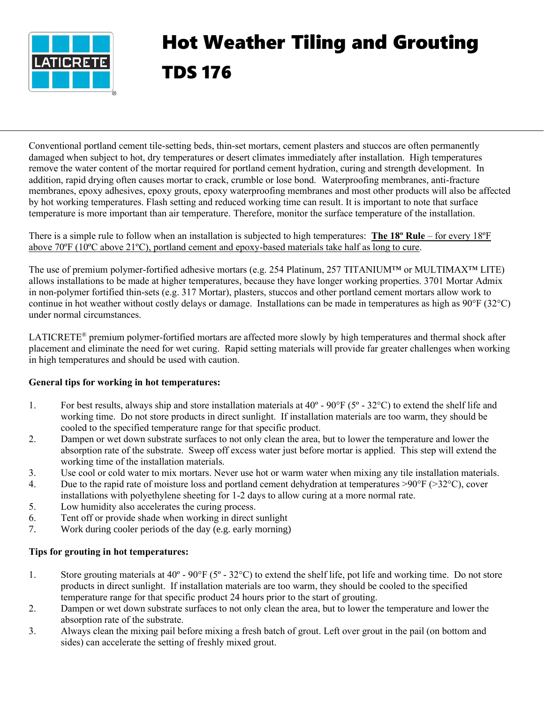

## Hot Weather Tiling and Grouting TDS 176

Conventional portland cement tile-setting beds, thin-set mortars, cement plasters and stuccos are often permanently damaged when subject to hot, dry temperatures or desert climates immediately after installation. High temperatures remove the water content of the mortar required for portland cement hydration, curing and strength development. In addition, rapid drying often causes mortar to crack, crumble or lose bond. Waterproofing membranes, anti-fracture membranes, epoxy adhesives, epoxy grouts, epoxy waterproofing membranes and most other products will also be affected by hot working temperatures. Flash setting and reduced working time can result. It is important to note that surface temperature is more important than air temperature. Therefore, monitor the surface temperature of the installation.

## There is a simple rule to follow when an installation is subjected to high temperatures: **The 18º Rule** – for every 18ºF above 70ºF (10ºC above 21ºC), portland cement and epoxy-based materials take half as long to cure.

The use of premium polymer-fortified adhesive mortars (e.g. 254 Platinum, 257 TITANIUM™ or MULTIMAX™ LITE) allows installations to be made at higher temperatures, because they have longer working properties. 3701 Mortar Admix in non-polymer fortified thin-sets (e.g. 317 Mortar), plasters, stuccos and other portland cement mortars allow work to continue in hot weather without costly delays or damage. Installations can be made in temperatures as high as 90°F (32°C) under normal circumstances.

LATICRETE® premium polymer-fortified mortars are affected more slowly by high temperatures and thermal shock after placement and eliminate the need for wet curing. Rapid setting materials will provide far greater challenges when working in high temperatures and should be used with caution.

## **General tips for working in hot temperatures:**

- 1. For best results, always ship and store installation materials at  $40^{\circ}$   $90^{\circ}$ F ( $5^{\circ}$   $32^{\circ}$ C) to extend the shelf life and working time. Do not store products in direct sunlight. If installation materials are too warm, they should be cooled to the specified temperature range for that specific product.
- 2. Dampen or wet down substrate surfaces to not only clean the area, but to lower the temperature and lower the absorption rate of the substrate. Sweep off excess water just before mortar is applied. This step will extend the working time of the installation materials.
- 3. Use cool or cold water to mix mortars. Never use hot or warm water when mixing any tile installation materials.
- 4. Due to the rapid rate of moisture loss and portland cement dehydration at temperatures >90°F (>32°C), cover installations with polyethylene sheeting for 1-2 days to allow curing at a more normal rate.
- 5. Low humidity also accelerates the curing process.
- 6. Tent off or provide shade when working in direct sunlight
- 7. Work during cooler periods of the day (e.g. early morning)

## **Tips for grouting in hot temperatures:**

- 1. Store grouting materials at  $40^{\circ}$   $90^{\circ}F(5^{\circ} 32^{\circ}C)$  to extend the shelf life, pot life and working time. Do not store products in direct sunlight. If installation materials are too warm, they should be cooled to the specified temperature range for that specific product 24 hours prior to the start of grouting.
- 2. Dampen or wet down substrate surfaces to not only clean the area, but to lower the temperature and lower the absorption rate of the substrate.
- 3. Always clean the mixing pail before mixing a fresh batch of grout. Left over grout in the pail (on bottom and sides) can accelerate the setting of freshly mixed grout.